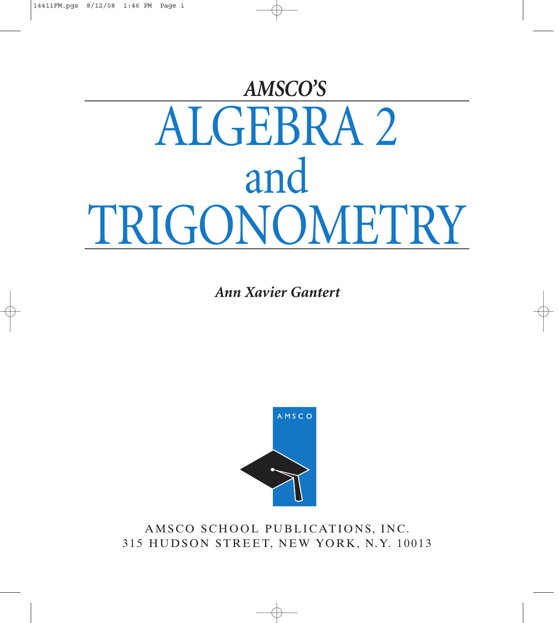# ALGEBRA 2 and TRIGONOMETRY *AMSCO'S*

*Ann Xavier Gantert*



AMSCO SCHOOL PUBLICATIONS, INC. 315 HUDSON STREET, NEW YORK, N.Y. 10013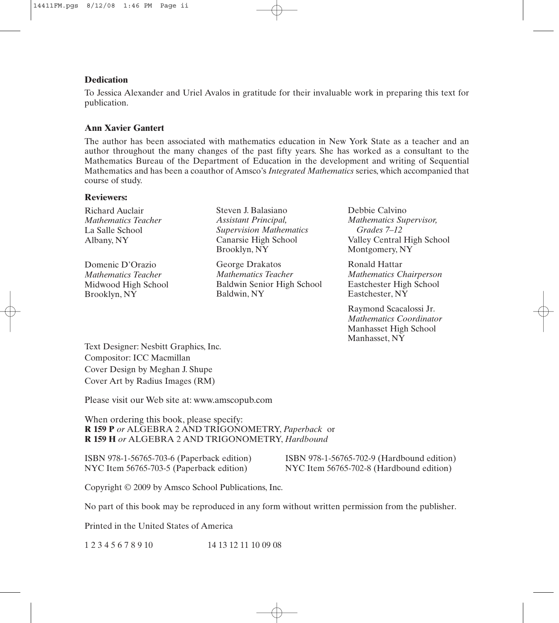#### **Dedication**

To Jessica Alexander and Uriel Avalos in gratitude for their invaluable work in preparing this text for publication.

#### **Ann Xavier Gantert**

The author has been associated with mathematics education in New York State as a teacher and an author throughout the many changes of the past fifty years. She has worked as a consultant to the Mathematics Bureau of the Department of Education in the development and writing of Sequential Mathematics and has been a coauthor of Amsco's *Integrated Mathematics* series, which accompanied that course of study.

#### **Reviewers:**

Richard Auclair *Mathematics Teacher* La Salle School Albany, NY

Domenic D'Orazio *Mathematics Teacher* Midwood High School Brooklyn, NY

Steven J. Balasiano *Assistant Principal, Supervision Mathematics* Canarsie High School Brooklyn, NY

George Drakatos *Mathematics Teacher* Baldwin Senior High School Baldwin, NY

Debbie Calvino *Mathematics Supervisor, Grades 7–12* Valley Central High School Montgomery, NY

Ronald Hattar *Mathematics Chairperson* Eastchester High School Eastchester, NY

Raymond Scacalossi Jr. *Mathematics Coordinator* Manhasset High School Manhasset, NY

Text Designer: Nesbitt Graphics, Inc. Compositor: ICC Macmillan Cover Design by Meghan J. Shupe Cover Art by Radius Images (RM)

Please visit our Web site at: www.amscopub.com

When ordering this book, please specify: **R 159 P** *or* ALGEBRA 2 AND TRIGONOMETRY, *Paperback* or **R 159 H** *or* ALGEBRA 2 AND TRIGONOMETRY, *Hardbound*

NYC Item 56765-703-5 (Paperback edition)

ISBN 978-1-56765-703-6 (Paperback edition) ISBN 978-1-56765-702-9 (Hardbound edition)<br>NYC Item 56765-703-5 (Paperback edition) NYC Item 56765-702-8 (Hardbound edition)

Copyright © 2009 by Amsco School Publications, Inc.

No part of this book may be reproduced in any form without written permission from the publisher.

Printed in the United States of America

1 2 3 4 5 6 7 8 9 10 14 13 12 11 10 09 08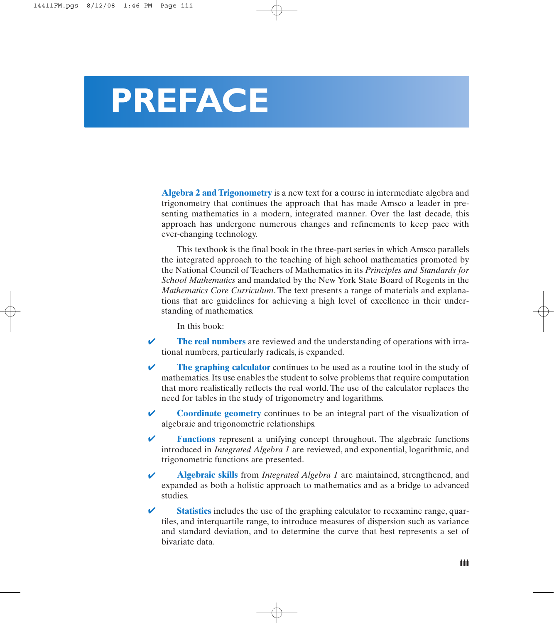## **PREFACE**

**Algebra 2 and Trigonometry** is a new text for a course in intermediate algebra and trigonometry that continues the approach that has made Amsco a leader in presenting mathematics in a modern, integrated manner. Over the last decade, this approach has undergone numerous changes and refinements to keep pace with ever-changing technology.

This textbook is the final book in the three-part series in which Amsco parallels the integrated approach to the teaching of high school mathematics promoted by the National Council of Teachers of Mathematics in its *Principles and Standards for School Mathematics* and mandated by the New York State Board of Regents in the *Mathematics Core Curriculum*. The text presents a range of materials and explanations that are guidelines for achieving a high level of excellence in their understanding of mathematics.

In this book:

- **The real numbers** are reviewed and the understanding of operations with irrational numbers, particularly radicals, is expanded. ✔
- **The graphing calculator** continues to be used as a routine tool in the study of mathematics. Its use enables the student to solve problems that require computation that more realistically reflects the real world. The use of the calculator replaces the need for tables in the study of trigonometry and logarithms. ✔
- **Coordinate geometry** continues to be an integral part of the visualization of algebraic and trigonometric relationships. ✔
- **Functions** represent a unifying concept throughout. The algebraic functions introduced in *Integrated Algebra 1* are reviewed, and exponential, logarithmic, and trigonometric functions are presented. ✔
- **Algebraic skills** from *Integrated Algebra 1* are maintained, strengthened, and expanded as both a holistic approach to mathematics and as a bridge to advanced studies. ✔
- **Statistics** includes the use of the graphing calculator to reexamine range, quartiles, and interquartile range, to introduce measures of dispersion such as variance and standard deviation, and to determine the curve that best represents a set of bivariate data. ✔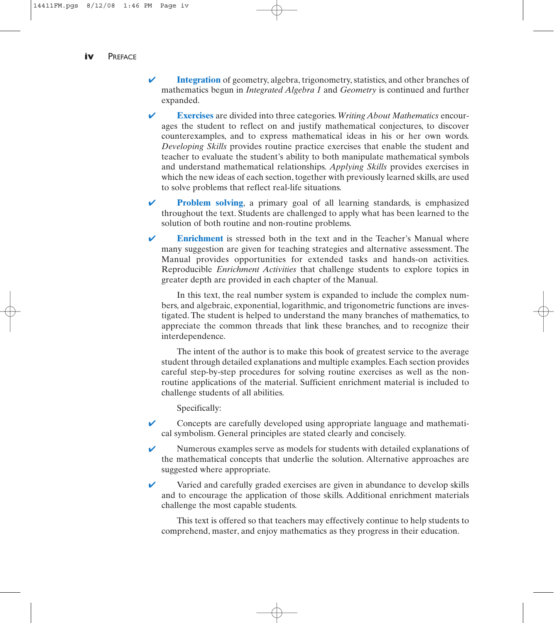- **Integration** of geometry, algebra, trigonometry, statistics, and other branches of mathematics begun in *Integrated Algebra 1* and *Geometry* is continued and further expanded. ✔
- **Exercises** are divided into three categories. *Writing About Mathematics* encourages the student to reflect on and justify mathematical conjectures, to discover counterexamples, and to express mathematical ideas in his or her own words. *Developing Skills* provides routine practice exercises that enable the student and teacher to evaluate the student's ability to both manipulate mathematical symbols and understand mathematical relationships. *Applying Skills* provides exercises in which the new ideas of each section, together with previously learned skills, are used to solve problems that reflect real-life situations. ✔
- **Problem solving**, a primary goal of all learning standards, is emphasized throughout the text. Students are challenged to apply what has been learned to the solution of both routine and non-routine problems. ✔
- **Enrichment** is stressed both in the text and in the Teacher's Manual where many suggestion are given for teaching strategies and alternative assessment. The Manual provides opportunities for extended tasks and hands-on activities. Reproducible *Enrichment Activities* that challenge students to explore topics in greater depth are provided in each chapter of the Manual. ✔

In this text, the real number system is expanded to include the complex numbers, and algebraic, exponential, logarithmic, and trigonometric functions are investigated. The student is helped to understand the many branches of mathematics, to appreciate the common threads that link these branches, and to recognize their interdependence.

The intent of the author is to make this book of greatest service to the average student through detailed explanations and multiple examples. Each section provides careful step-by-step procedures for solving routine exercises as well as the nonroutine applications of the material. Sufficient enrichment material is included to challenge students of all abilities.

Specifically:

- Concepts are carefully developed using appropriate language and mathematical symbolism. General principles are stated clearly and concisely. ✔
- Numerous examples serve as models for students with detailed explanations of the mathematical concepts that underlie the solution. Alternative approaches are suggested where appropriate. ✔
- Varied and carefully graded exercises are given in abundance to develop skills and to encourage the application of those skills. Additional enrichment materials challenge the most capable students. ✔

This text is offered so that teachers may effectively continue to help students to comprehend, master, and enjoy mathematics as they progress in their education.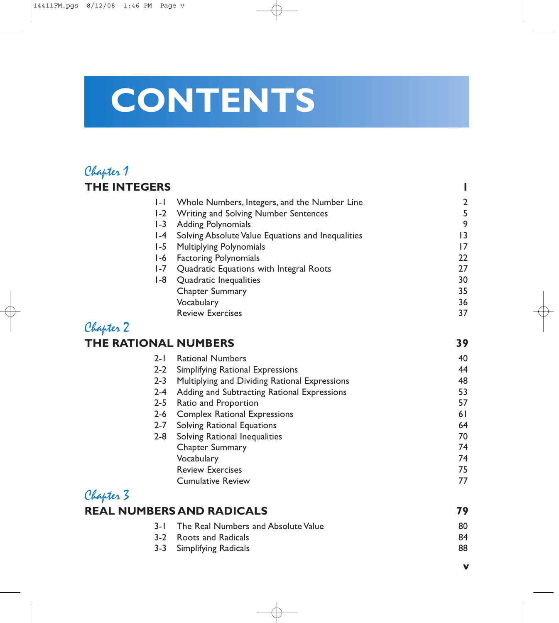## **CONTENTS**

#### Chapter 1 **THE INTEGERS 1**

| $1 - 1$              | Whole Numbers, Integers, and the Number Line      | $\overline{2}$ |
|----------------------|---------------------------------------------------|----------------|
|                      | 1-2 Writing and Solving Number Sentences          |                |
| $1-3$                | <b>Adding Polynomials</b>                         | 9              |
| $I - 4$              | Solving Absolute Value Equations and Inequalities | 13             |
| $1-5$                | <b>Multiplying Polynomials</b>                    | 17             |
| I-6                  | <b>Factoring Polynomials</b>                      | 22             |
| $1 - 7$              | Quadratic Equations with Integral Roots           | 27             |
| I -8                 | Quadratic Inequalities                            | 30             |
|                      | <b>Chapter Summary</b>                            | 35             |
|                      | Vocabulary                                        | 36             |
|                      | <b>Review Exercises</b>                           | 37             |
| Chapter 2            |                                                   |                |
| THE RATIONAL NUMBERS |                                                   | 39             |
| $2 - 1$              | <b>Rational Numbers</b>                           | 40             |

| $2 - 1$ | <b>Rational Numbers</b>                       | 40 |
|---------|-----------------------------------------------|----|
| $2 - 2$ | Simplifying Rational Expressions              | 44 |
| $2 - 3$ | Multiplying and Dividing Rational Expressions | 48 |
| $2 - 4$ | Adding and Subtracting Rational Expressions   | 53 |
| $2 - 5$ | Ratio and Proportion                          | 57 |
| $2 - 6$ | <b>Complex Rational Expressions</b>           | 61 |
| $2 - 7$ | <b>Solving Rational Equations</b>             | 64 |
| $2 - 8$ | Solving Rational Inequalities                 | 70 |
|         | <b>Chapter Summary</b>                        | 74 |
|         | Vocabulary                                    | 74 |
|         | <b>Review Exercises</b>                       | 75 |
|         | <b>Cumulative Review</b>                      | 77 |
|         |                                               |    |

### Chapter 3 **REAL NUMBERS AND RADICALS** 79

| 3-1 The Real Numbers and Absolute Value | 80 |
|-----------------------------------------|----|
| 3-2 Roots and Radicals                  | 84 |
| 3-3 Simplifying Radicals                | 88 |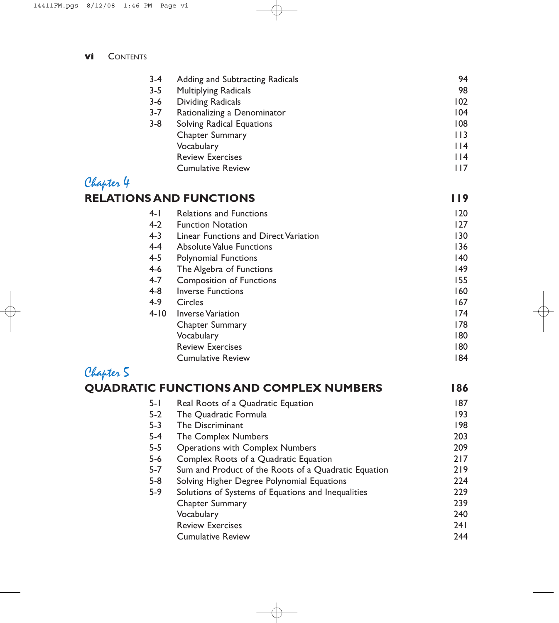| $3 - 4$                        | Adding and Subtracting Radicals  | 94     |
|--------------------------------|----------------------------------|--------|
| $3 - 5$                        | <b>Multiplying Radicals</b>      | 98     |
| $3 - 6$                        | <b>Dividing Radicals</b>         | 102    |
| $3 - 7$                        | Rationalizing a Denominator      | 104    |
| $3 - 8$                        | <b>Solving Radical Equations</b> | 108    |
|                                | <b>Chapter Summary</b>           | 113    |
|                                | Vocabulary                       | 4      |
|                                | <b>Review Exercises</b>          | $ $  4 |
|                                | <b>Cumulative Review</b>         | 117    |
| Chapter 4                      |                                  |        |
| <b>RELATIONS AND FUNCTIONS</b> |                                  |        |

#### 4-1 Relations and Functions 120<br>120 Function Notation 127 4-2 Function Notation<br>4-3 Linear Functions are **Linear Functions and Direct Variation 130 Contract Variation** 130 4-4 Absolute Value Functions 136<br>136 136 136 137 138 139 139 139 139 139 139 139 139 140 Polynomial Functions 4-6 The Algebra of Functions 149 4-7 Composition of Functions 155 Inverse Functions 160 4-9 Circles 167 4-10 Inverse Variation 174<br>Chapter Summary 178 Chapter Summary Vocabulary 180 Review Exercises 180 Cumulative Review 184

#### Chapter 5

|         | <b>QUADRATIC FUNCTIONS AND COMPLEX NUMBERS</b>       | 186 |
|---------|------------------------------------------------------|-----|
| $5 - 1$ | Real Roots of a Quadratic Equation                   | 187 |
| $5-2$   | The Quadratic Formula                                | 193 |
| $5 - 3$ | The Discriminant                                     | 198 |
| 5-4     | The Complex Numbers                                  | 203 |
| $5-5$   | <b>Operations with Complex Numbers</b>               | 209 |
| $5-6$   | Complex Roots of a Quadratic Equation                | 217 |
| $5 - 7$ | Sum and Product of the Roots of a Quadratic Equation | 219 |
| $5-8$   | Solving Higher Degree Polynomial Equations           | 224 |
| $5-9$   | Solutions of Systems of Equations and Inequalities   | 229 |
|         | Chapter Summary                                      | 239 |
|         | Vocabulary                                           | 240 |
|         | <b>Review Exercises</b>                              | 241 |
|         | <b>Cumulative Review</b>                             | 244 |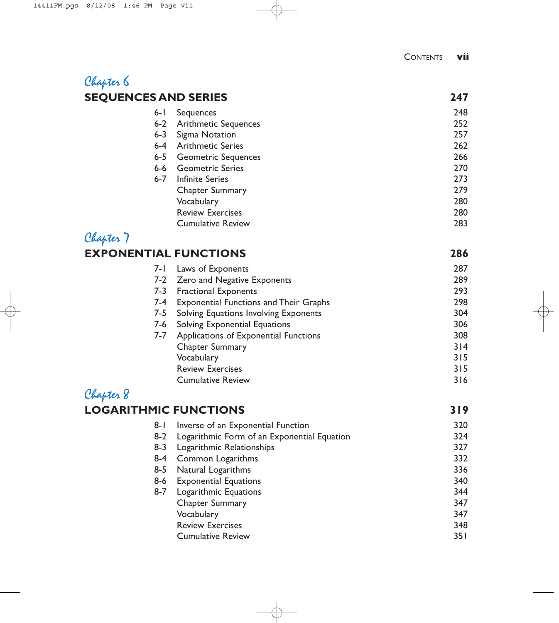#### Chapter 6 **SEQUENCES AND SERIES 247**

| $6 - 1$ | Sequences                   | 248 |
|---------|-----------------------------|-----|
| $6-2$   | <b>Arithmetic Sequences</b> | 252 |
| $6 - 3$ | Sigma Notation              | 257 |
| $6-4$   | <b>Arithmetic Series</b>    | 262 |
| $6 - 5$ | <b>Geometric Sequences</b>  | 266 |
| $6-6$   | <b>Geometric Series</b>     | 270 |
| $6 - 7$ | Infinite Series             | 273 |
|         | Chapter Summary             | 279 |
|         | Vocabulary                  | 280 |
|         | <b>Review Exercises</b>     | 280 |
|         | <b>Cumulative Review</b>    | 283 |
|         |                             |     |

#### Chapter 7 **EXPONENTIAL FUNCTIONS 286**

|     | 7-1 Laws of Exponents                         | 287 |
|-----|-----------------------------------------------|-----|
|     | 7-2 Zero and Negative Exponents               | 289 |
| 7-3 | <b>Fractional Exponents</b>                   | 293 |
| 7-4 | <b>Exponential Functions and Their Graphs</b> | 298 |
| 7-5 | Solving Equations Involving Exponents         | 304 |
| 7-6 | Solving Exponential Equations                 | 306 |
| 7-7 | Applications of Exponential Functions         | 308 |
|     | Chapter Summary                               | 314 |
|     | Vocabulary                                    | 315 |
|     | <b>Review Exercises</b>                       | 315 |
|     | <b>Cumulative Review</b>                      | 316 |
|     |                                               |     |

### Chapter 8

#### **LOGARITHMIC FUNCTIONS** 319

| $8 - 1$ | Inverse of an Exponential Function          | 320  |
|---------|---------------------------------------------|------|
| $8-2$   | Logarithmic Form of an Exponential Equation | 324  |
| $8 - 3$ | Logarithmic Relationships                   | 327  |
| $8 - 4$ | Common Logarithms                           | 332  |
| $8 - 5$ | Natural Logarithms                          | 336  |
| $8-6$   | <b>Exponential Equations</b>                | 340  |
| $8 - 7$ | Logarithmic Equations                       | 344  |
|         | Chapter Summary                             | 347  |
|         | Vocabulary                                  | 347  |
|         | <b>Review Exercises</b>                     | 348  |
|         | <b>Cumulative Review</b>                    | 35 I |
|         |                                             |      |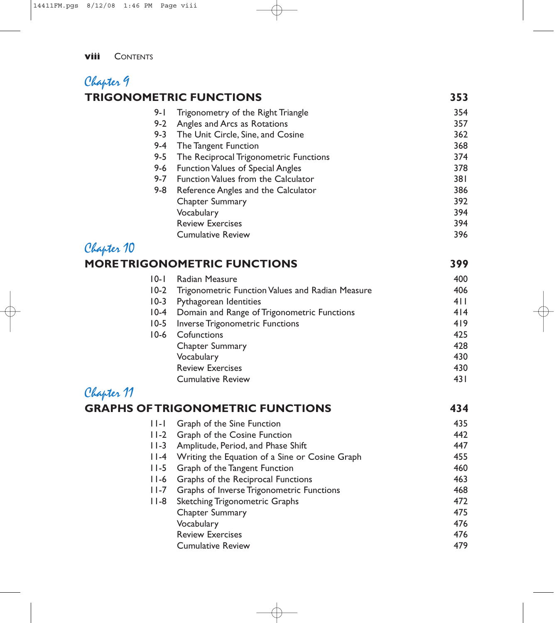#### Chapter 9 **TRIGONOMETRIC FUNCTIONS** 353

| 9- I    | Trigonometry of the Right Triangle         | 354 |
|---------|--------------------------------------------|-----|
| $9 - 2$ | Angles and Arcs as Rotations               | 357 |
| $9 - 3$ | The Unit Circle, Sine, and Cosine          | 362 |
| $9 - 4$ | The Tangent Function                       | 368 |
| $9 - 5$ | The Reciprocal Trigonometric Functions     | 374 |
| $9-6$   | <b>Function Values of Special Angles</b>   | 378 |
| $9 - 7$ | <b>Function Values from the Calculator</b> | 381 |
| $9 - 8$ | Reference Angles and the Calculator        | 386 |
|         | Chapter Summary                            | 392 |
|         | Vocabulary                                 | 394 |
|         | <b>Review Exercises</b>                    | 394 |
|         | <b>Cumulative Review</b>                   | 396 |
|         |                                            |     |

### Chapter 10

#### **MORE TRIGONOMETRIC FUNCTIONS** 399

| $10-1$ | Radian Measure                                        | 400  |
|--------|-------------------------------------------------------|------|
|        | 10-2 Trigonometric Function Values and Radian Measure | 406  |
| $10-3$ | Pythagorean Identities                                | 411  |
|        | 10-4 Domain and Range of Trigonometric Functions      | 4 4  |
|        | 10-5 Inverse Trigonometric Functions                  | 419  |
| $10-6$ | Cofunctions                                           | 425  |
|        | <b>Chapter Summary</b>                                | 428  |
|        | Vocabulary                                            | 430  |
|        | <b>Review Exercises</b>                               | 430  |
|        | <b>Cumulative Review</b>                              | 43 I |
|        |                                                       |      |

## Chapter 11

| 435 |
|-----|
|     |
| 442 |
| 447 |
| 455 |
| 460 |
| 463 |
| 468 |
| 472 |
| 475 |
| 476 |
| 476 |
| 479 |
|     |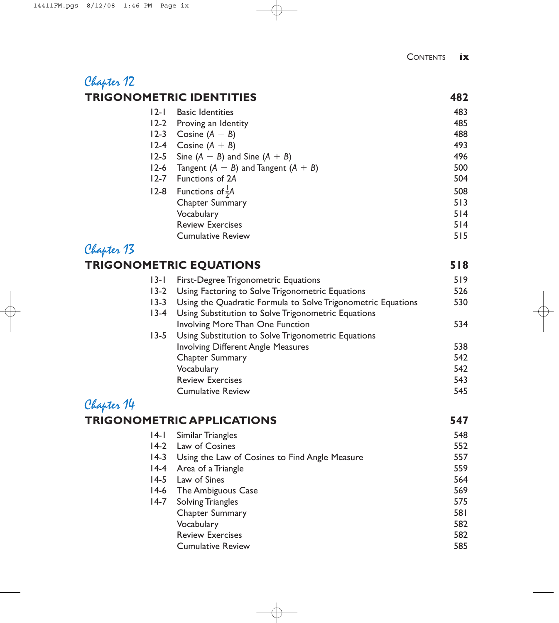### Chapter 12 **TRIGONOMETRIC IDENTITIES 482**

| $ 2-1 $  | <b>Basic Identities</b>                 | 483 |
|----------|-----------------------------------------|-----|
| $12-2$   | Proving an Identity                     | 485 |
| $12 - 3$ | Cosine $(A - B)$                        | 488 |
| $12-4$   | Cosine $(A + B)$                        | 493 |
|          | 12-5 Sine $(A - B)$ and Sine $(A + B)$  | 496 |
| $12-6$   | Tangent $(A - B)$ and Tangent $(A + B)$ | 500 |
| $12 - 7$ | Functions of 2A                         | 504 |
|          | 12-8 Functions of $\frac{1}{2}A$        | 508 |
|          | Chapter Summary                         | 513 |
|          | Vocabulary                              | 514 |
|          | <b>Review Exercises</b>                 | 514 |
|          | <b>Cumulative Review</b>                | 515 |
|          |                                         |     |

### Chapter 13

## **TRIGONOMETRIC EQUATIONS 518**

| $13-1$   | <b>First-Degree Trigonometric Equations</b>                  | 519 |
|----------|--------------------------------------------------------------|-----|
|          | 13-2 Using Factoring to Solve Trigonometric Equations        | 526 |
| $13 - 3$ | Using the Quadratic Formula to Solve Trigonometric Equations | 530 |
| $13-4$   | Using Substitution to Solve Trigonometric Equations          |     |
|          | <b>Involving More Than One Function</b>                      | 534 |
|          | 13-5 Using Substitution to Solve Trigonometric Equations     |     |
|          | <b>Involving Different Angle Measures</b>                    | 538 |
|          | Chapter Summary                                              | 542 |
|          | Vocabulary                                                   | 542 |
|          | <b>Review Exercises</b>                                      | 543 |
|          | <b>Cumulative Review</b>                                     | 545 |
|          |                                                              |     |

#### Chapter 14

## **TRIGONOMETRIC APPLICATIONS 547**

| $ 4- $ | Similar Triangles                              | 548 |
|--------|------------------------------------------------|-----|
| $14-2$ | Law of Cosines                                 | 552 |
| $14-3$ | Using the Law of Cosines to Find Angle Measure | 557 |
| $14-4$ | Area of a Triangle                             | 559 |
| $14-5$ | Law of Sines                                   | 564 |
| $14-6$ | The Ambiguous Case                             | 569 |
| $14-7$ | Solving Triangles                              | 575 |
|        | <b>Chapter Summary</b>                         | 581 |
|        | Vocabulary                                     | 582 |
|        | <b>Review Exercises</b>                        | 582 |
|        | <b>Cumulative Review</b>                       | 585 |